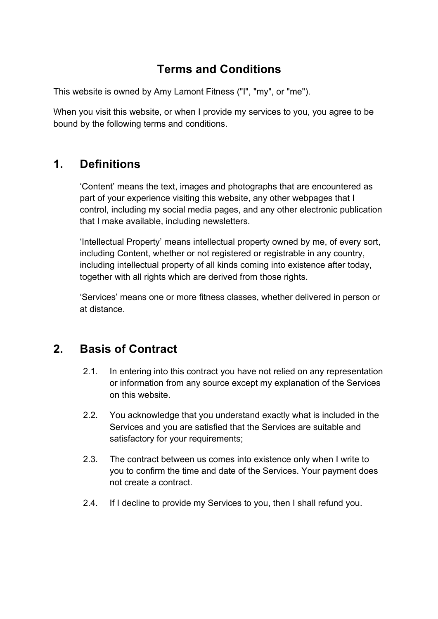# **Terms and Conditions**

This website is owned by Amy Lamont Fitness ("I", "my", or "me").

When you visit this website, or when I provide my services to you, you agree to be bound by the following terms and conditions.

## **1. Definitions**

'Content' means the text, images and photographs that are encountered as part of your experience visiting this website, any other webpages that I control, including my social media pages, and any other electronic publication that I make available, including newsletters.

'Intellectual Property' means intellectual property owned by me, of every sort, including Content, whether or not registered or registrable in any country, including intellectual property of all kinds coming into existence after today, together with all rights which are derived from those rights.

'Services' means one or more fitness classes, whether delivered in person or at distance.

### **2. Basis of Contract**

- 2.1. In entering into this contract you have not relied on any representation or information from any source except my explanation of the Services on this website.
- 2.2. You acknowledge that you understand exactly what is included in the Services and you are satisfied that the Services are suitable and satisfactory for your requirements;
- 2.3. The contract between us comes into existence only when I write to you to confirm the time and date of the Services. Your payment does not create a contract.
- 2.4. If I decline to provide my Services to you, then I shall refund you.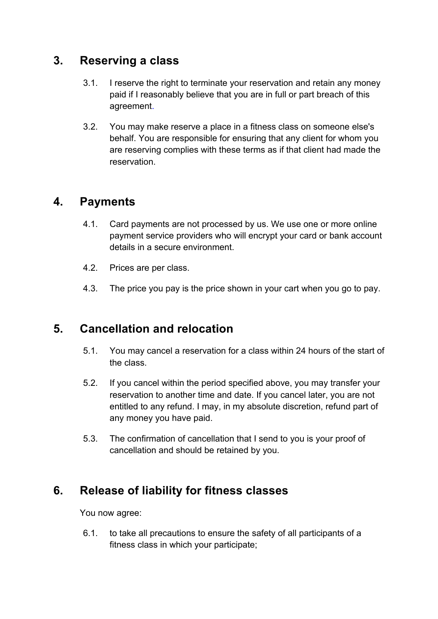#### **3. Reserving a class**

- 3.1. I reserve the right to terminate your reservation and retain any money paid if I reasonably believe that you are in full or part breach of this agreement.
- 3.2. You may make reserve a place in a fitness class on someone else's behalf. You are responsible for ensuring that any client for whom you are reserving complies with these terms as if that client had made the reservation.

#### **4. Payments**

- 4.1. Card payments are not processed by us. We use one or more online payment service providers who will encrypt your card or bank account details in a secure environment.
- 4.2. Prices are per class.
- 4.3. The price you pay is the price shown in your cart when you go to pay.

### **5. Cancellation and relocation**

- 5.1. You may cancel a reservation for a class within 24 hours of the start of the class.
- 5.2. If you cancel within the period specified above, you may transfer your reservation to another time and date. If you cancel later, you are not entitled to any refund. I may, in my absolute discretion, refund part of any money you have paid.
- 5.3. The confirmation of cancellation that I send to you is your proof of cancellation and should be retained by you.

### **6. Release of liability for fitness classes**

You now agree:

6.1. to take all precautions to ensure the safety of all participants of a fitness class in which your participate;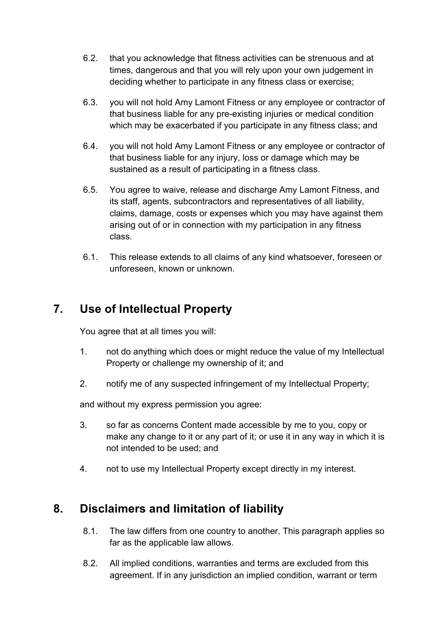- 6.2. that you acknowledge that fitness activities can be strenuous and at times, dangerous and that you will rely upon your own judgement in deciding whether to participate in any fitness class or exercise;
- 6.3. you will not hold Amy Lamont Fitness or any employee or contractor of that business liable for any pre-existing injuries or medical condition which may be exacerbated if you participate in any fitness class; and
- 6.4. you will not hold Amy Lamont Fitness or any employee or contractor of that business liable for any injury, loss or damage which may be sustained as a result of participating in a fitness class.
- 6.5. You agree to waive, release and discharge Amy Lamont Fitness, and its staff, agents, subcontractors and representatives of all liability, claims, damage, costs or expenses which you may have against them arising out of or in connection with my participation in any fitness class.
- 6.1. This release extends to all claims of any kind whatsoever, foreseen or unforeseen, known or unknown.

# **7. Use of Intellectual Property**

You agree that at all times you will:

- 1. not do anything which does or might reduce the value of my Intellectual Property or challenge my ownership of it; and
- 2. notify me of any suspected infringement of my Intellectual Property;

and without my express permission you agree:

- 3. so far as concerns Content made accessible by me to you, copy or make any change to it or any part of it; or use it in any way in which it is not intended to be used; and
- 4. not to use my Intellectual Property except directly in my interest.

### **8. Disclaimers and limitation of liability**

- 8.1. The law differs from one country to another. This paragraph applies so far as the applicable law allows.
- 8.2. All implied conditions, warranties and terms are excluded from this agreement. If in any jurisdiction an implied condition, warrant or term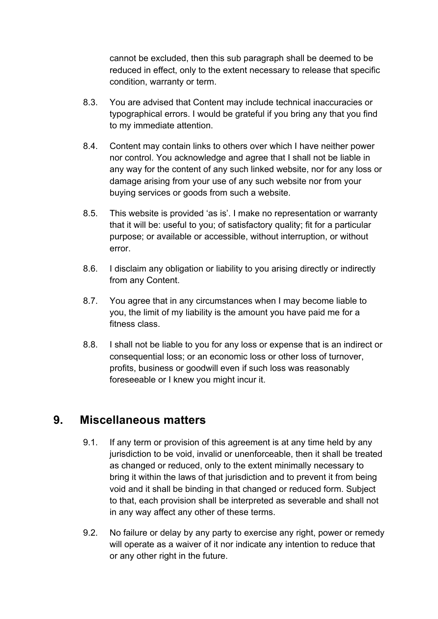cannot be excluded, then this sub paragraph shall be deemed to be reduced in effect, only to the extent necessary to release that specific condition, warranty or term.

- 8.3. You are advised that Content may include technical inaccuracies or typographical errors. I would be grateful if you bring any that you find to my immediate attention.
- 8.4. Content may contain links to others over which I have neither power nor control. You acknowledge and agree that I shall not be liable in any way for the content of any such linked website, nor for any loss or damage arising from your use of any such website nor from your buying services or goods from such a website.
- 8.5. This website is provided 'as is'. I make no representation or warranty that it will be: useful to you; of satisfactory quality; fit for a particular purpose; or available or accessible, without interruption, or without error.
- 8.6. I disclaim any obligation or liability to you arising directly or indirectly from any Content.
- 8.7. You agree that in any circumstances when I may become liable to you, the limit of my liability is the amount you have paid me for a fitness class.
- 8.8. I shall not be liable to you for any loss or expense that is an indirect or consequential loss; or an economic loss or other loss of turnover, profits, business or goodwill even if such loss was reasonably foreseeable or I knew you might incur it.

### **9. Miscellaneous matters**

- 9.1. If any term or provision of this agreement is at any time held by any jurisdiction to be void, invalid or unenforceable, then it shall be treated as changed or reduced, only to the extent minimally necessary to bring it within the laws of that jurisdiction and to prevent it from being void and it shall be binding in that changed or reduced form. Subject to that, each provision shall be interpreted as severable and shall not in any way affect any other of these terms.
- 9.2. No failure or delay by any party to exercise any right, power or remedy will operate as a waiver of it nor indicate any intention to reduce that or any other right in the future.